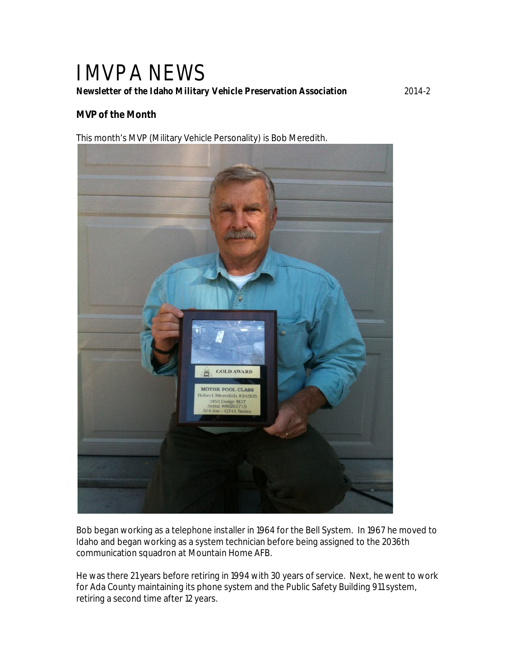# IMVPA NEWS *Newsletter of the Idaho Military Vehicle Preservation Association* 2014-2

## **MVP of the Month**

This month's MVP (Military Vehicle Personality) is Bob Meredith.



Bob began working as a telephone installer in 1964 for the Bell System. In 1967 he moved to Idaho and began working as a system technician before being assigned to the 2036th communication squadron at Mountain Home AFB.

He was there 21 years before retiring in 1994 with 30 years of service. Next, he went to work for Ada County maintaining its phone system and the Public Safety Building 911 system, retiring a second time after 12 years.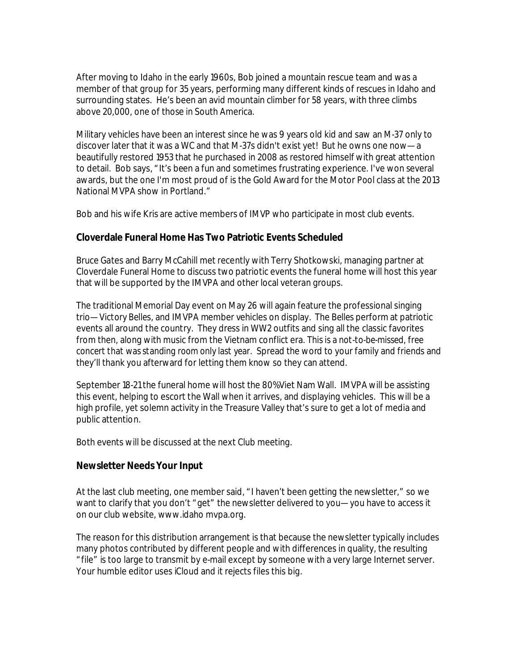After moving to Idaho in the early 1960s, Bob joined a mountain rescue team and was a member of that group for 35 years, performing many different kinds of rescues in Idaho and surrounding states. He's been an avid mountain climber for 58 years, with three climbs above 20,000, one of those in South America.

Military vehicles have been an interest since he was 9 years old kid and saw an M-37 only to discover later that it was a WC and that M-37s didn't exist yet! But he owns one now—a beautifully restored 1953 that he purchased in 2008 as restored himself with great attention to detail. Bob says, "It's been a fun and sometimes frustrating experience. I've won several awards, but the one I'm most proud of is the Gold Award for the Motor Pool class at the 2013 National MVPA show in Portland."

Bob and his wife Kris are active members of IMVP who participate in most club events.

#### **Cloverdale Funeral Home Has Two Patriotic Events Scheduled**

Bruce Gates and Barry McCahill met recently with Terry Shotkowski, managing partner at Cloverdale Funeral Home to discuss two patriotic events the funeral home will host this year that will be supported by the IMVPA and other local veteran groups.

The traditional Memorial Day event on May 26 will again feature the professional singing trio—*Victory Belle*s, and IMVPA member vehicles on display. The *Belles* perform at patriotic events all around the country. They dress in WW2 outfits and sing all the classic favorites from then, along with music from the Vietnam conflict era. *This is a not-to-be-missed, free concert that was standing room only last year.* Spread the word to your family and friends and they'll thank you afterward for letting them know so they can attend.

September 18-21 the funeral home will host the 80% Viet Nam Wall. IMVPA will be assisting this event, helping to escort the Wall when it arrives, and displaying vehicles. This will be a high profile, yet solemn activity in the Treasure Valley that's sure to get a lot of media and public attention.

Both events will be discussed at the next Club meeting.

#### **Newsletter Needs Your Input**

At the last club meeting, one member said, "I haven't been getting the newsletter," so we want to clarify that you don't "get" the newsletter delivered to you—you have to access it on our club website, www.idaho mvpa.org.

The reason for this distribution arrangement is that because the newsletter typically includes many photos contributed by different people and with differences in quality, the resulting "file" is too large to transmit by e-mail except by someone with a very large Internet server. Your humble editor uses iCloud and it rejects files this big.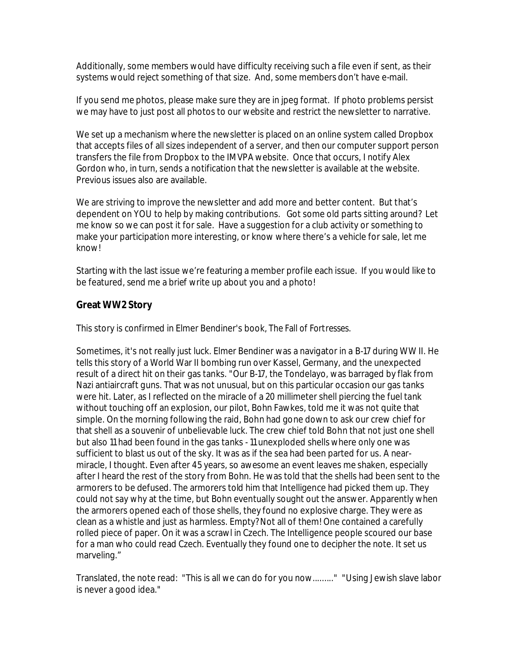Additionally, some members would have difficulty receiving such a file even if sent, as their systems would reject something of that size. And, some members don't have e-mail.

If you send me photos, please make sure they are in jpeg format. If photo problems persist we may have to just post all photos to our website and restrict the newsletter to narrative.

We set up a mechanism where the newsletter is placed on an online system called Dropbox that accepts files of all sizes independent of a server, and then our computer support person transfers the file from Dropbox to the IMVPA website. Once that occurs, I notify Alex Gordon who, in turn, sends a notification that the newsletter is available at the website. Previous issues also are available.

We are striving to improve the newsletter and add more and better content. But that's dependent on YOU to help by making contributions. Got some old parts sitting around? Let me know so we can post it for sale. Have a suggestion for a club activity or something to make your participation more interesting, or know where there's a vehicle for sale, let me know!

Starting with the last issue we're featuring a member profile each issue. If you would like to be featured, send me a brief write up about you and a photo!

# **Great WW2 Story**

This story is confirmed in Elmer Bendiner's book, *The Fall of Fortresses*.

Sometimes, it's not really just luck. Elmer Bendiner was a navigator in a B-17 during WW II. He tells this story of a World War II bombing run over Kassel, Germany, and the unexpected result of a direct hit on their gas tanks. "Our B-17, the Tondelayo, was barraged by flak from Nazi antiaircraft guns. That was not unusual, but on this particular occasion our gas tanks were hit. Later, as I reflected on the miracle of a 20 millimeter shell piercing the fuel tank without touching off an explosion, our pilot, Bohn Fawkes, told me it was not quite that simple. On the morning following the raid, Bohn had gone down to ask our crew chief for that shell as a souvenir of unbelievable luck. The crew chief told Bohn that not just one shell but also 11 had been found in the gas tanks - 11 unexploded shells where only one was sufficient to blast us out of the sky. It was as if the sea had been parted for us. A nearmiracle, I thought. Even after 45 years, so awesome an event leaves me shaken, especially after I heard the rest of the story from Bohn. He was told that the shells had been sent to the armorers to be defused. The armorers told him that Intelligence had picked them up. They could not say why at the time, but Bohn eventually sought out the answer. Apparently when the armorers opened each of those shells, they found no explosive charge. They were as clean as a whistle and just as harmless. Empty? Not all of them! One contained a carefully rolled piece of paper. On it was a scrawl in Czech. The Intelligence people scoured our base for a man who could read Czech. Eventually they found one to decipher the note. It set us marveling."

Translated, the note read: "This is all we can do for you now........." "Using Jewish slave labor is never a good idea."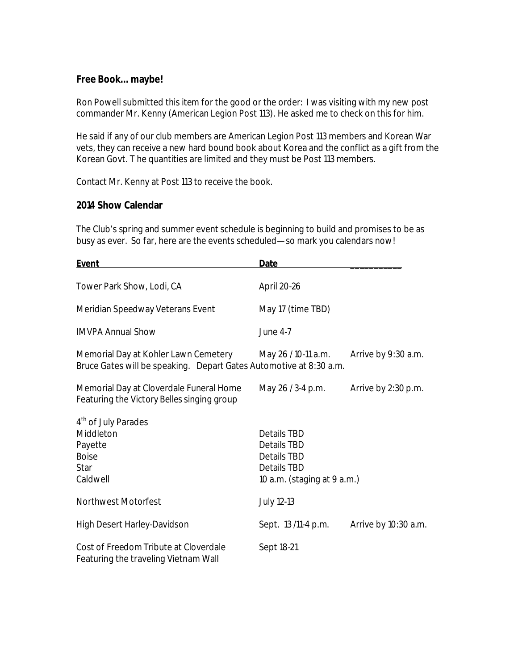#### **Free Book…maybe!**

Ron Powell submitted this item for the good or the order: I was visiting with my new post commander Mr. Kenny (American Legion Post 113). He asked me to check on this for him.

He said if any of our club members are American Legion Post 113 members and Korean War vets, they can receive a new hard bound book about Korea and the conflict as a gift from the Korean Govt. T he quantities are limited and they must be Post 113 members.

Contact Mr. Kenny at Post 113 to receive the book.

#### **2014 Show Calendar**

The Club's spring and summer event schedule is beginning to build and promises to be as busy as ever. So far, here are the events scheduled—so mark you calendars now!

| <b>Event</b>                                                                                               | <b>Date</b>                                                                                           |                      |
|------------------------------------------------------------------------------------------------------------|-------------------------------------------------------------------------------------------------------|----------------------|
| Tower Park Show, Lodi, CA                                                                                  | April 20-26                                                                                           |                      |
| Meridian Speedway Veterans Event                                                                           | May 17 (time TBD)                                                                                     |                      |
| <b>IMVPA Annual Show</b>                                                                                   | <b>June 4-7</b>                                                                                       |                      |
| Memorial Day at Kohler Lawn Cemetery<br>Bruce Gates will be speaking. Depart Gates Automotive at 8:30 a.m. | May 26 / 10-11 a.m.                                                                                   | Arrive by 9:30 a.m.  |
| Memorial Day at Cloverdale Funeral Home<br>Featuring the Victory Belles singing group                      | May 26 / 3-4 p.m.                                                                                     | Arrive by 2:30 p.m.  |
| 4 <sup>th</sup> of July Parades<br>Middleton<br>Payette<br><b>Boise</b><br>Star<br>Caldwell                | Details TBD<br>Details TBD<br><b>Details TBD</b><br><b>Details TBD</b><br>10 a.m. (staging at 9 a.m.) |                      |
| <b>Northwest Motorfest</b>                                                                                 | July 12-13                                                                                            |                      |
| High Desert Harley-Davidson                                                                                | Sept. 13/11-4 p.m.                                                                                    | Arrive by 10:30 a.m. |
| Cost of Freedom Tribute at Cloverdale<br>Featuring the traveling Vietnam Wall                              | Sept 18-21                                                                                            |                      |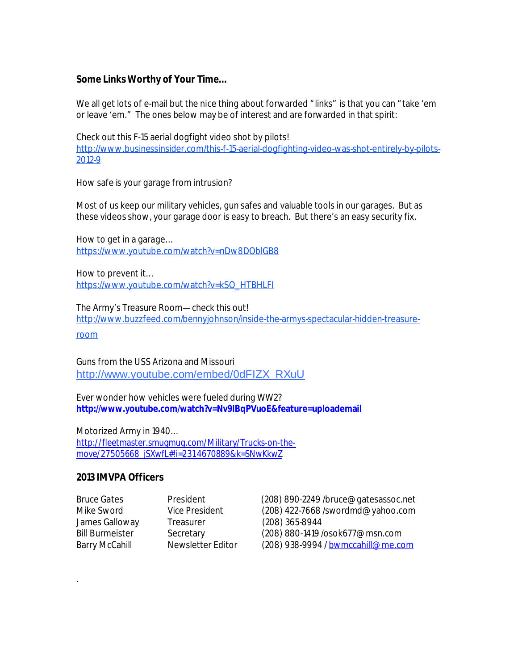## **Some Links Worthy of Your Time…**

We all get lots of e-mail but the nice thing about forwarded "links" is that you can "take 'em or leave 'em." The ones below may be of interest and are forwarded in that spirit:

Check out this F-15 aerial dogfight video shot by pilots! http://www.businessinsider.com/this-f-15-aerial-dogfighting-video-was-shot-entirely-by-pilots-2012-9

How safe is your garage from intrusion?

Most of us keep our military vehicles, gun safes and valuable tools in our garages. But as these videos show, your garage door is easy to breach. But there's an easy security fix.

How to get in a garage… https://www.youtube.com/watch?v=nDw8DOblGB8

How to prevent it… https://www.youtube.com/watch?v=kSO\_HTBHLFI

The Army's Treasure Room—check this out! http://www.buzzfeed.com/bennyjohnson/inside-the-armys-spectacular-hidden-treasure-

room

Guns from the USS Arizona and Missouri http://www.youtube.com/embed/0dFIZX\_RXuU

Ever wonder how vehicles were fueled during WW2? **http://www.youtube.com/watch?v=Nv9lBqPVuoE&feature=uploademail**

Motorized Army in 1940… http://fleetmaster.smugmug.com/Military/Trucks-on-themove/27505668\_jSXwfL#!i=2314670889&k=SNwKkwZ

## **2013 IMVPA Officers**

.

James Galloway Treasurer (208) 365-8944

Bruce Gates President (208) 890-2249 /bruce@gatesassoc.net Mike Sword Vice President (208) 422-7668 /swordmd@yahoo.com Bill Burmeister Secretary (208) 880-1419 /osok677@msn.com Barry McCahill Mewsletter Editor (208) 938-9994 / bwmccahill@me.com